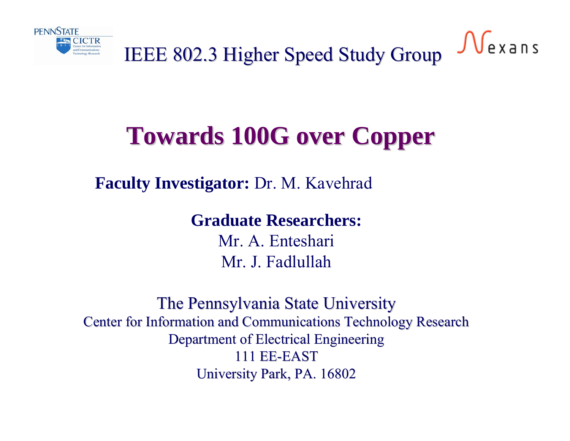

IEEE 802.3 Higher Speed Study Group

 $\int$  $\sqrt{Q}$ exans

# **Towards 100G over Copper Towards 100G over Copper**

**Faculty Investigator:** Dr. M. Kavehrad

**Graduate Researchers:** Mr. A. Enteshari Mr. J. Fadlullah

The Pennsylvania State University Center for Information and Communications Technology Research Department of Electrical Engineering 111 EE-EASTUniversity Park, PA. 16802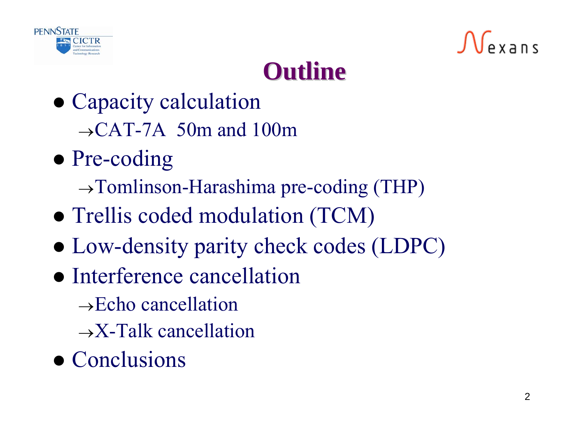



# **Outline Outline**

- Capacity calculation  $\rightarrow$ CAT-7A 50m and 100m
- Pre-coding
	- $\rightarrow$ Tomlinson-Harashima pre-coding (THP)
- Trellis coded modulation (TCM)
- Low-density parity check codes (LDPC)
- Interference cancellation
	- $\rightarrow$ Echo cancellation
	- $\rightarrow$ X-Talk cancellation
- Conclusions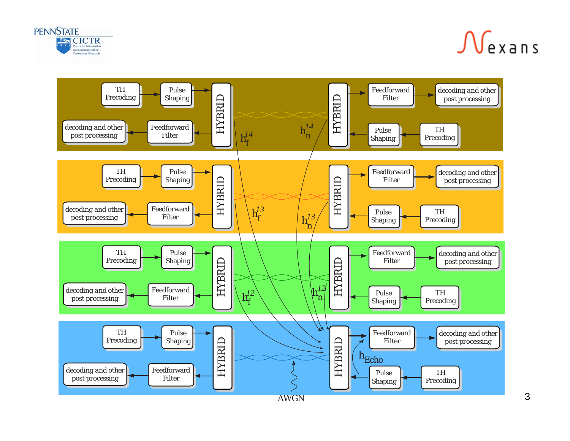

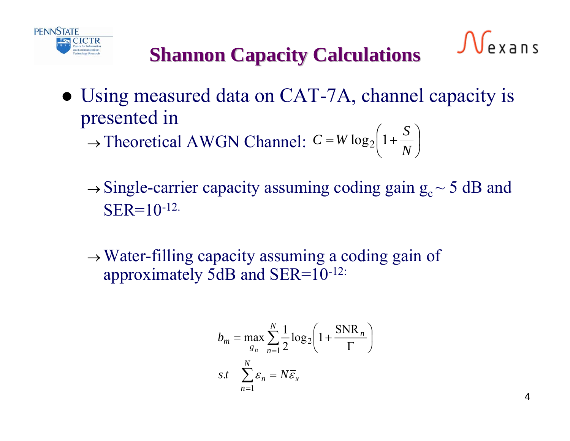

### **Shannon Capacity Calculations**

- Using measured data on CAT-7A, channel capacity is presented in  $\rightarrow$  Theoretical AWGN Channel:  $C = W \log_2 \left( 1 + \frac{S}{N} \right)$ 
	- $\rightarrow$  Single-carrier capacity assuming coding gain  $g_c \sim$  5 dB and  $SER=10^{-12}$ .
	- $\rightarrow$  Water-filling capacity assuming a coding gain of approximately 5dB and SER=10-12:

$$
b_m = \max_{g_n} \sum_{n=1}^{N} \frac{1}{2} \log_2 \left( 1 + \frac{\text{SNR}_n}{\Gamma} \right)
$$
  
s.t 
$$
\sum_{n=1}^{N} \varepsilon_n = N \overline{\varepsilon}_x
$$

 $\sqrt{P}$  x ans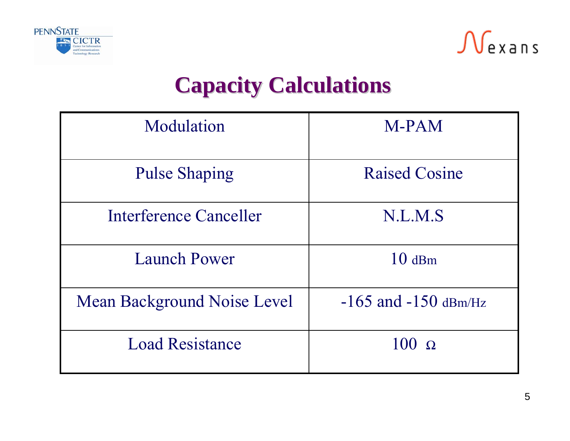



# **Capacity Calculations Capacity Calculations**

| Modulation                         | M-PAM                    |
|------------------------------------|--------------------------|
| <b>Pulse Shaping</b>               | <b>Raised Cosine</b>     |
| Interference Canceller             | N.L.M.S                  |
| <b>Launch Power</b>                | $10$ dBm                 |
| <b>Mean Background Noise Level</b> | $-165$ and $-150$ dBm/Hz |
| <b>Load Resistance</b>             | $100 \Omega$             |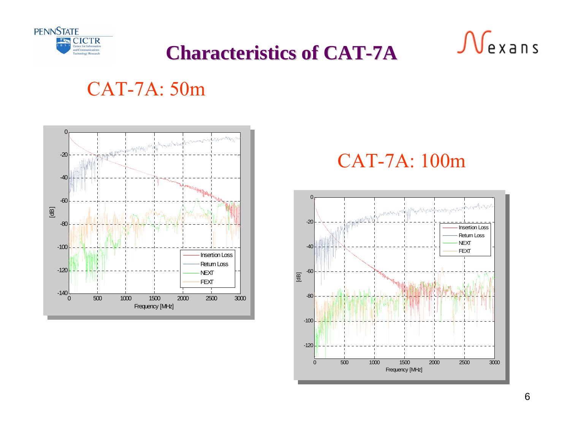

#### **Characteristics of CAT Characteristics of CAT-7A**

#### CAT-7A: 50m



#### CAT-7A: 100m



 $\bigcap$ exans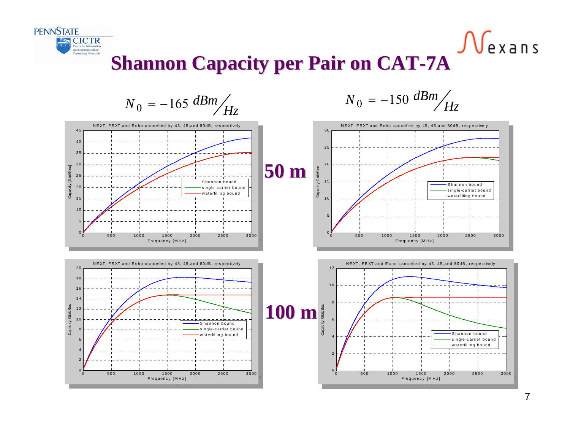

#### **Shannon Capacity per Pair on CAT-7A**

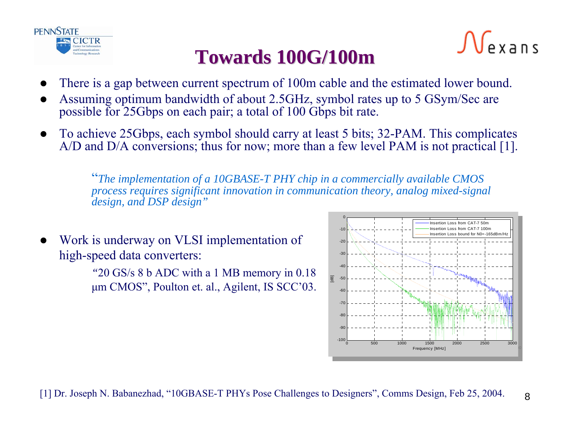

#### **Towards 100G/100m Towards 100G/100m**

- $\bullet$ There is a gap between current spectrum of 100m cable and the estimated lower bound.
- $\bullet$  Assuming optimum bandwidth of about 2.5GHz, symbol rates up to 5 GSym/Sec are possible for 25Gbps on each pair; a total of 100 Gbps bit rate.
- $\bullet$  To achieve 25Gbps, each symbol should carry at least 5 bits; 32-PAM. This complicates A/D and D/A conversions; thus for now; more than a few level PAM is not practical [1].

"*The implementation of a 10GBASE-T PHY chip in a commercially available CMOS process requires significant innovation in communication theory, analog mixed-signal design, and DSP design"*

 $\bullet$  Work is underway on VLSI implementation of high-speed data converters:

> *"*20 GS/s 8 b ADC with a 1 MB memory in 0.18 μ m CMOS ", Poulton et. al., Agilent, IS SCC'03.



 $\int e x a \cdot s$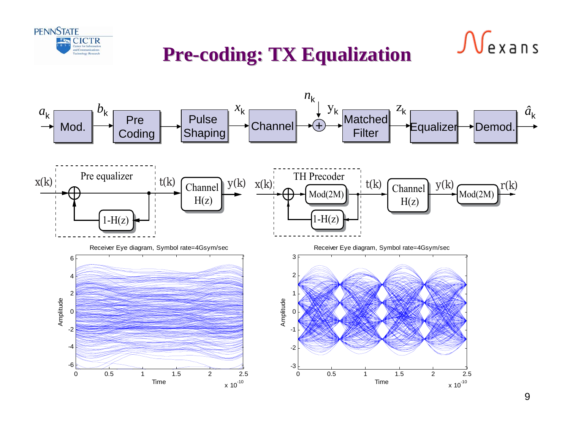

#### **Pre-coding: TX Equalization coding: TX Equalization**

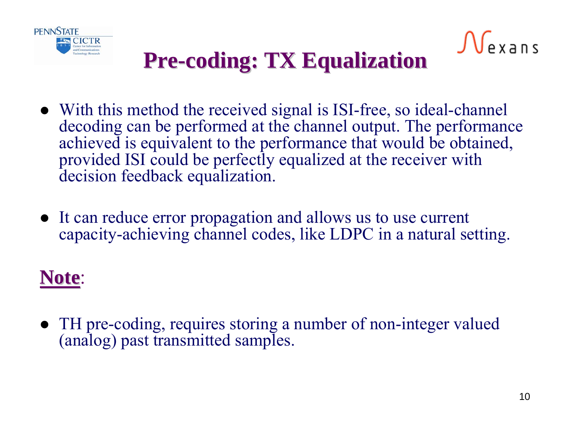

# **Pre-coding: TX Equalization coding: TX Equalization**

- With this method the received signal is ISI-free, so ideal-channel decoding can be performed at the channel output. The performance achieved is equivalent to the performance that would be obtained, provided ISI could be perfectly equalized at the receiver with decision feedback equalization.
- It can reduce error propagation and allows us to use current capacity-achieving channel codes, like LDPC in a natural setting.

## **Note**:

• TH pre-coding, requires storing a number of non-integer valued (analog) past transmitted samples.

 $\sqrt{e}$  x a n s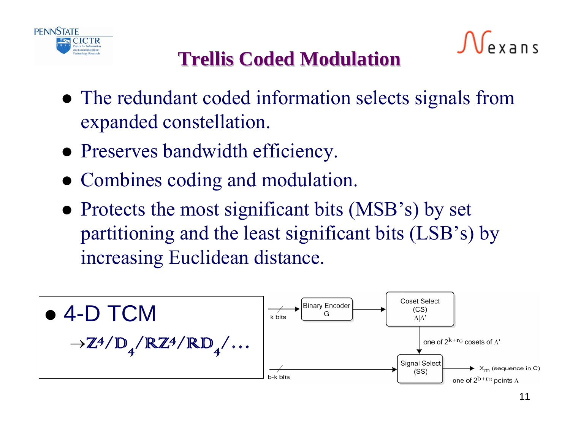

### **Trellis Coded Modulation Trellis Coded Modulation**

- The redundant coded information selects signals from expanded constellation.
- Preserves bandwidth efficiency.
- Combines coding and modulation.
- Protects the most significant bits (MSB's) by set partitioning and the least significant bits (LSB's) by increasing Euclidean distance.



 $x = n 5$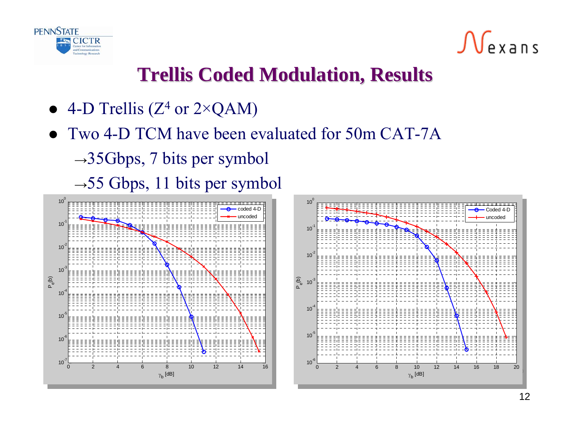



#### **Trellis Coded Modulation, Results Trellis Coded Modulation, Results**

- 4-D Trellis ( $Z^4$  or  $2 \times QAM$ )
- $\bullet$  Two 4-D TCM have been evaluated for 50m CAT-7A
	- $\rightarrow$ 35Gbps, 7 bits per symbol
	- $\rightarrow$  55 Gbps, 11 bits per symbol



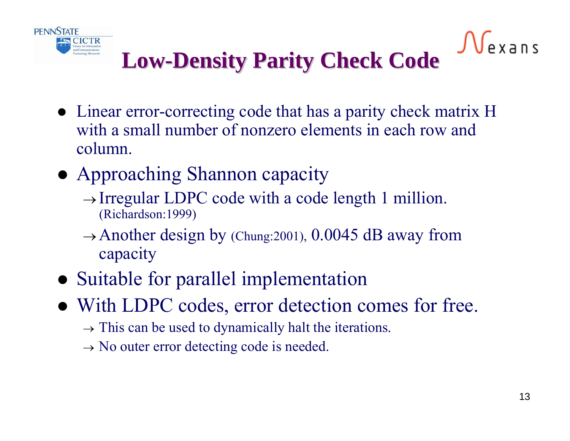

# **Low-Density Parity Check Code**

- Linear error-correcting code that has a parity check matrix H with a small number of nonzero elements in each row and column.
- Approaching Shannon capacity
	- $\rightarrow$  Irregular LDPC code with a code length 1 million. (Richardson:1999)
	- $\rightarrow$  Another design by (Chung:2001), 0.0045 dB away from capacity
- Suitable for parallel implementation
- With LDPC codes, error detection comes for free.
	- $\rightarrow$  This can be used to dynamically halt the iterations.
	- $\rightarrow$  No outer error detecting code is needed.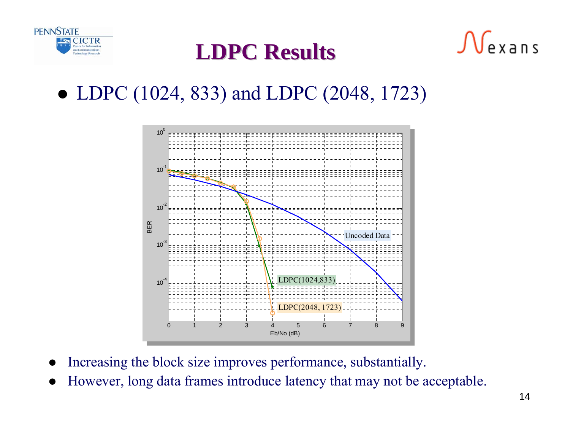

### **LDPC Results LDPC Results**

# xans

#### • LDPC (1024, 833) and LDPC (2048, 1723)



- $\bullet$ Increasing the block size improves performance, substantially.
- $\bullet$ However, long data frames introduce latency that may not be acceptable.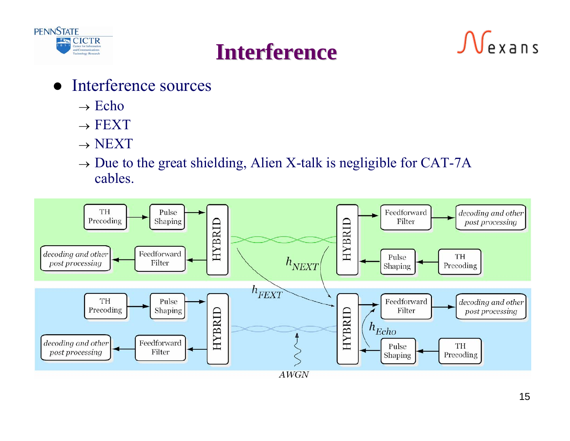



- 
- $\bullet$  Interference sources
	- $\rightarrow$  Echo
	- $\rightarrow$  FEXT
	- $\rightarrow$  NEXT
	- $\rightarrow$  Due to the great shielding, Alien X-talk is negligible for CAT-7A cables.

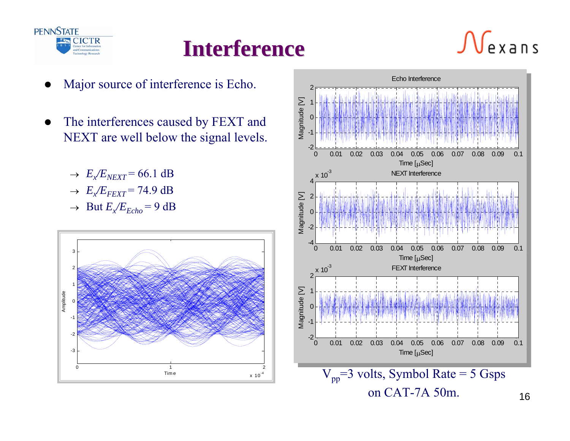

# **Interference Interference**

- $\bullet$ Major source of interference is Echo.
- $\bullet$  The interferences caused by FEXT and NEXT are well below the signal levels.
	- $\rightarrow E_{\chi}/E_{NEXT}$  = 66.1 dB
	- $\rightarrow E_{\chi}/E_{FEXT}$  = 74.9 dB
	- $\rightarrow$  But  $E_{\chi}/E_{Echo} = 9$  dB



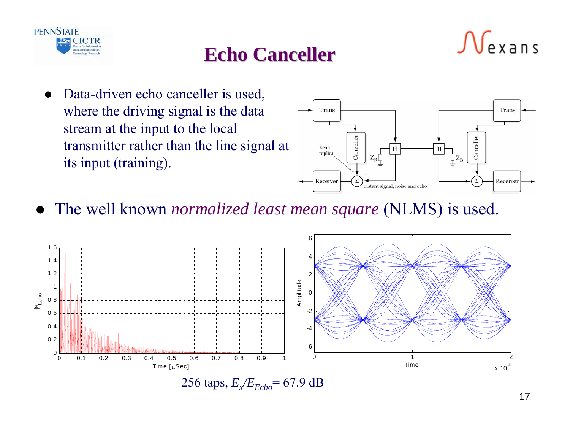

#### **Echo Canceller Echo Canceller**

 $\bullet$  Data-driven echo canceller is used, where the driving signal is the data stream at the input to the local transmitter rather than the line signal at its input (training).



• The well known *normalized least mean square* (NLMS) is used.

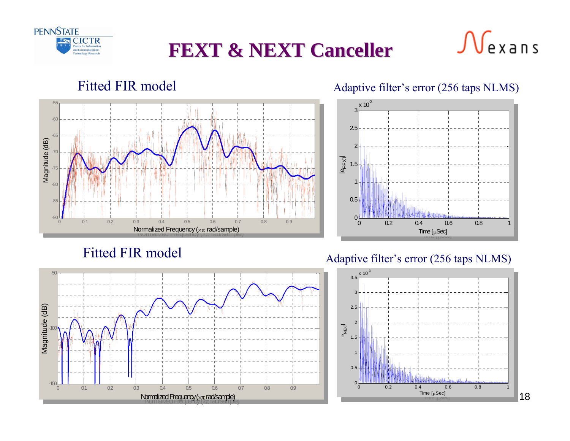

### **FEXT & NEXT Canceller FEXT & NEXT Canceller**

#### Fitted FIR model



#### Adaptive filter's error (256 taps NLMS)



#### Fitted FIR model



Adaptive filter's error (256 taps NLMS)

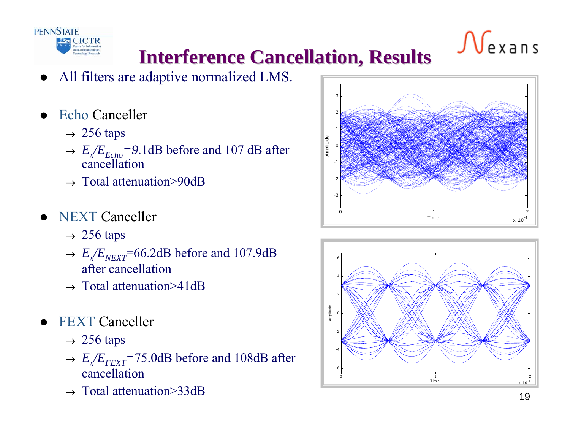# **Interference Cancellation, Results Interference Cancellation, Results**

- $\bullet$ All filters are adaptive normalized LMS.
- $\bullet$ Echo Canceller

**PENNSTATE** 

- $\rightarrow 256$  taps
- $\rightarrow E_{\chi}/E_{Echo} = 9.1$ dB before and 107 dB after cancellation
- $\rightarrow$  Total attenuation>90dB
- $\bullet$  NEXT Canceller
	- $\rightarrow 256$  taps
	- $\rightarrow E_{\chi}/E_{NEXT}$ =66.2dB before and 107.9dB after cancellation
	- $\rightarrow$  Total attenuation>41dB
- $\bullet$  FEXT Canceller
	- $\rightarrow 256$  taps
	- $\rightarrow E_{\chi}/E_{FEXT}$ =75.0dB before and 108dB after cancellation
	- $\rightarrow$  Total attenuation>33dB





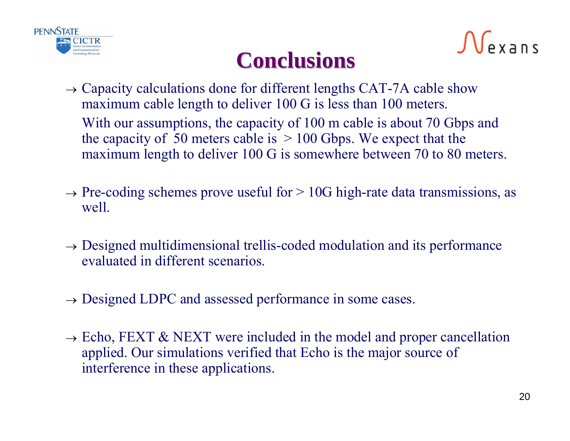

## **Conclusions Conclusions**

- $\rightarrow$  Capacity calculations done for different lengths CAT-7A cable show maximum cable length to deliver 100 G is less than 100 meters. With our assumptions, the capacity of 100 m cable is about 70 Gbps and the capacity of 50 meters cable is  $> 100$  Gbps. We expect that the maximum length to deliver 100 G is somewhere between 70 to 80 meters.
- $\rightarrow$  Pre-coding schemes prove useful for  $> 10G$  high-rate data transmissions, as well.
- $\rightarrow$  Designed multidimensional trellis-coded modulation and its performance evaluated in different scenarios.
- $\rightarrow$  Designed LDPC and assessed performance in some cases.
- $\rightarrow$  Echo, FEXT & NEXT were included in the model and proper cancellation applied. Our simulations verified that Echo is the major source of interference in these applications.

 $\mathcal{N}_{\mathsf{exp}}$